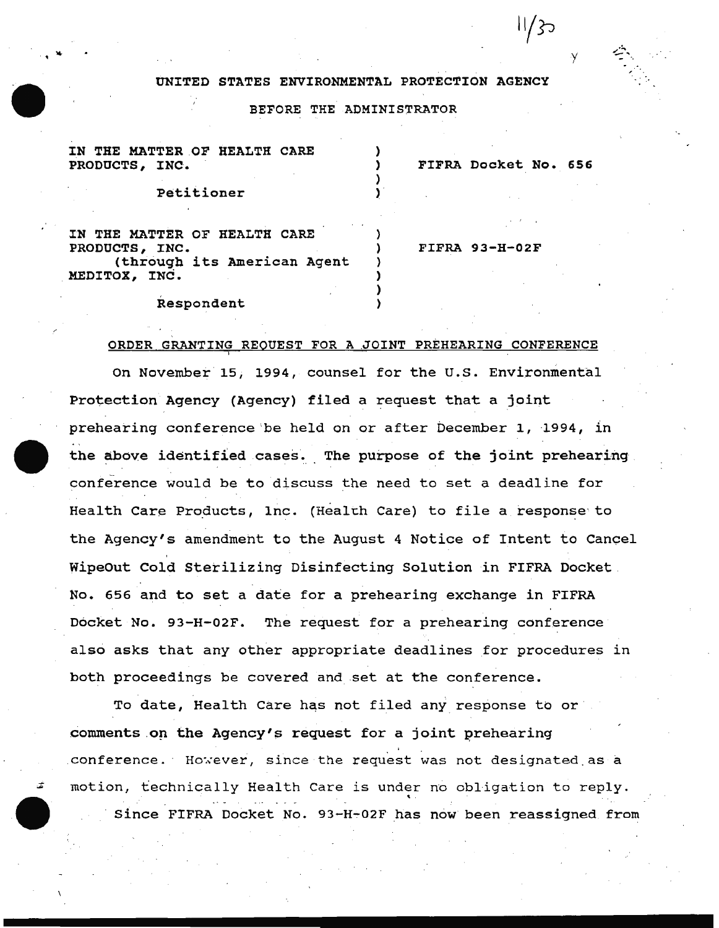## UNITED STATES ENVIRONMENTAL PROTECTION AGENCY

y

||/}ာ

## BEFORE THE ADMINISTRATOR

| THE MATTER OF HEALTH CARE<br><b>PRODUCTS,</b><br>INC. |  | FIFRA Docket No. 656 |  |
|-------------------------------------------------------|--|----------------------|--|
| Petitioner                                            |  |                      |  |
| IN THE MATTER OF HEALTH CARE                          |  |                      |  |
| PRODUCTS, INC.<br>(through its American Agent         |  | $FIFRA 93-H-02F$     |  |
| MEDITOX, INC.                                         |  |                      |  |
| Respondent                                            |  |                      |  |

## ORDER GRANTING REQUEST FOR A JOINT PREHEARING CONFERENCE

On November 15, 1994, counsel for the U.S. Environmental Protection Agency (Agency) filed a request that a joint prehearing conference be held on or after December 1, 1994, in the above identified cases. The purpose of the joint prehearing conference would be to discuss the need to set a deadline for Health Care Products, lnc. (Health Care) to file a response to the Agency's amendment to the August 4 Notice of Intent to Cancel Wipeout Cold Sterilizing Disinfecting Solution in FIFRA Docket No. 656 and to set a date for a prehearing exchange in FIFRA Docket No. 93-H-02F. The request for a prehearing conference also asks that any other appropriate deadlines for procedures in both proceedings be covered and set at the conference.

To date, Health Care has not filed any response to or comments on the Agency's request for a joint prehearing conference. However, since the request was not designated as a motion, technically Health Care is under no obligation to reply. Since FIFRA Docket No. 93-H~02F has now been reassigned from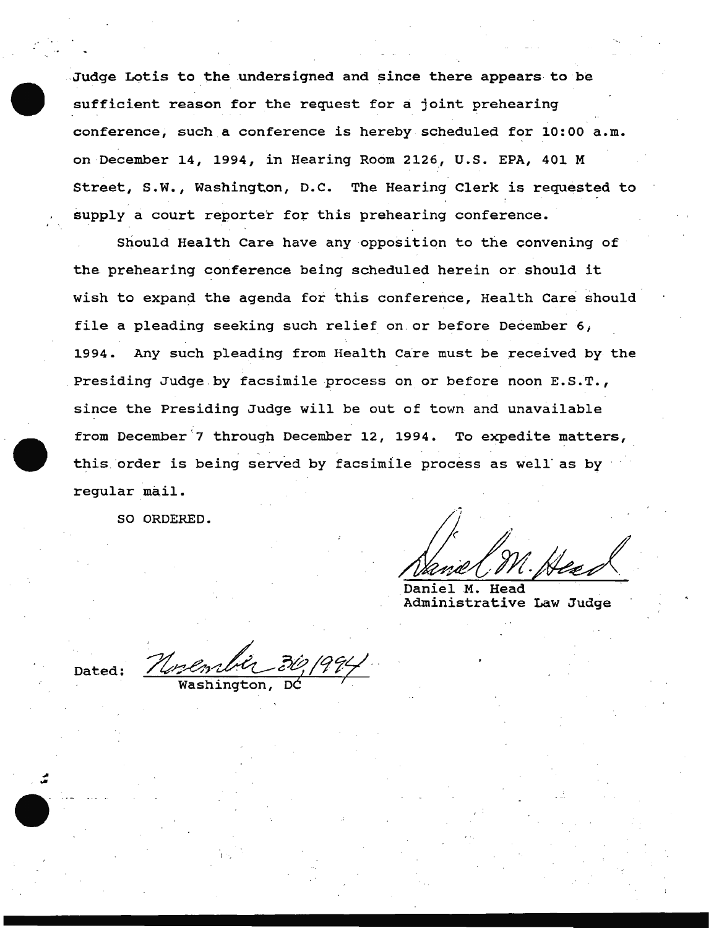.Judge Lotis to the undersigned and since there appears to be sufficient reason for the request for a joint prehearing conference, such a conference is hereby scheduled for 10:00 a.m. on December 14, 1994, in Hearing Room 2126, U.S. EPA, 401 M Street, s.w., Washington, D.C. The Hearing Clerk is requested to supply a court reporter for this prehearing conference.

Should Health Care have any opposition to the convening of the prehearing conference being scheduled herein or should it wish to expand the agenda for this conference, Health Care should file a pleading seeking such relief on or before December 6; 1994. Any such pleading from Health Care must be received by the Presiding Judge by facsimile process on or before noon E.S.T., since the Presiding Judge will be out of town and unavailable from December 7 through December 12, 1994. To expedite matters, this. order is being served by facsimile process as well' as by regular mail.

SO ORDERED.

Nancel M. Head

Administrative Law Judge

Dated: *Northulut 30, 1994*